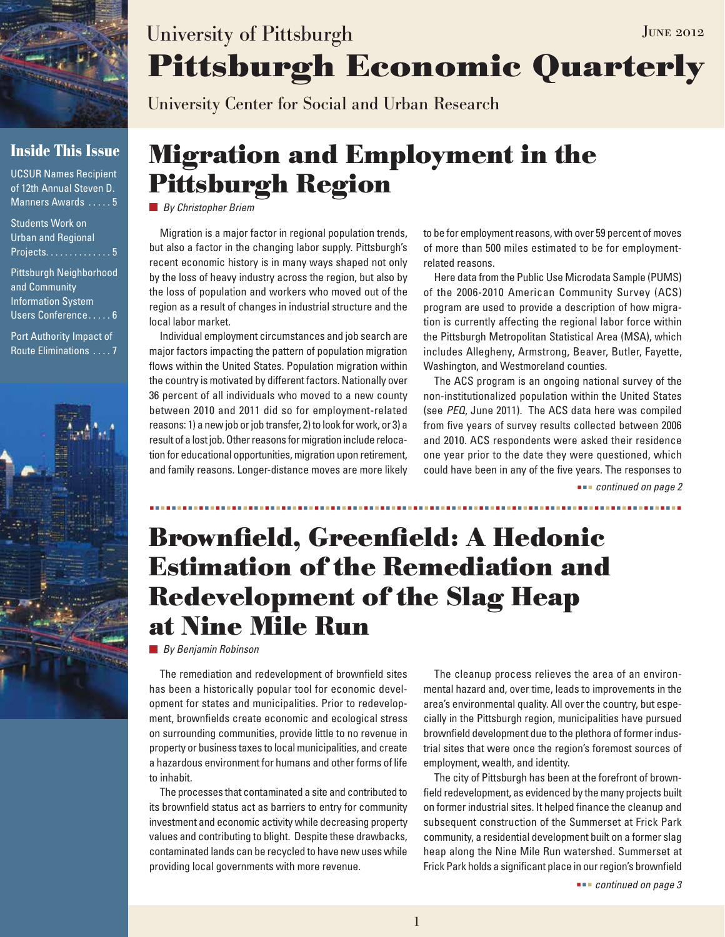

### **Inside This Issue**

UCSUR Names Recipient of 12th Annual Steven D. Manners Awards .....5

Students Work on Urban and Regional Projects.  $\dots \dots \dots \dots 5$ 

Pittsburgh Neighborhood and Community Information System Users Conference..... 6

Port Authority Impact of Route Eliminations . . . . 7



# **Pittsburgh Economic Quarterly** University of Pittsburgh JUNE 2012

University Center for Social and Urban Research

## **Migration and Employment in the Pittsburgh Region**

*By Christopher Briem*

Migration is a major factor in regional population trends, but also a factor in the changing labor supply. Pittsburgh's recent economic history is in many ways shaped not only by the loss of heavy industry across the region, but also by the loss of population and workers who moved out of the region as a result of changes in industrial structure and the local labor market.

Individual employment circumstances and job search are major factors impacting the pattern of population migration flows within the United States. Population migration within the country is motivated by different factors. Nationally over 36 percent of all individuals who moved to a new county between 2010 and 2011 did so for employment-related reasons: 1) a new job or job transfer, 2) to look for work, or 3) a result of a lost job. Other reasons for migration include relocation for educational opportunities, migration upon retirement, and family reasons. Longer-distance moves are more likely to be for employment reasons, with over 59 percent of moves of more than 500 miles estimated to be for employmentrelated reasons.

Here data from the Public Use Microdata Sample (PUMS) of the 2006-2010 American Community Survey (ACS) program are used to provide a description of how migration is currently affecting the regional labor force within the Pittsburgh Metropolitan Statistical Area (MSA), which includes Allegheny, Armstrong, Beaver, Butler, Fayette, Washington, and Westmoreland counties.

The ACS program is an ongoing national survey of the non-institutionalized population within the United States (see *PEQ*, June 2011). The ACS data here was compiled from five years of survey results collected between 2006 and 2010. ACS respondents were asked their residence one year prior to the date they were questioned, which could have been in any of the five years. The responses to

 *continued on page 2*

## **Brownfield, Greenfield: A Hedonic Estimation of the Remediation and Redevelopment of the Slag Heap at Nine Mile Run**

*By Benjamin Robinson*

The remediation and redevelopment of brownfield sites has been a historically popular tool for economic development for states and municipalities. Prior to redevelopment, brownfields create economic and ecological stress on surrounding communities, provide little to no revenue in property or business taxes to local municipalities, and create a hazardous environment for humans and other forms of life to inhabit.

The processes that contaminated a site and contributed to its brownfield status act as barriers to entry for community investment and economic activity while decreasing property values and contributing to blight. Despite these drawbacks, contaminated lands can be recycled to have new uses while providing local governments with more revenue.

The cleanup process relieves the area of an environmental hazard and, over time, leads to improvements in the area's environmental quality. All over the country, but especially in the Pittsburgh region, municipalities have pursued brownfield development due to the plethora of former industrial sites that were once the region's foremost sources of employment, wealth, and identity.

The city of Pittsburgh has been at the forefront of brownfield redevelopment, as evidenced by the many projects built on former industrial sites. It helped finance the cleanup and subsequent construction of the Summerset at Frick Park community, a residential development built on a former slag heap along the Nine Mile Run watershed. Summerset at Frick Park holds a significant place in our region's brownfield

 *continued on page 3*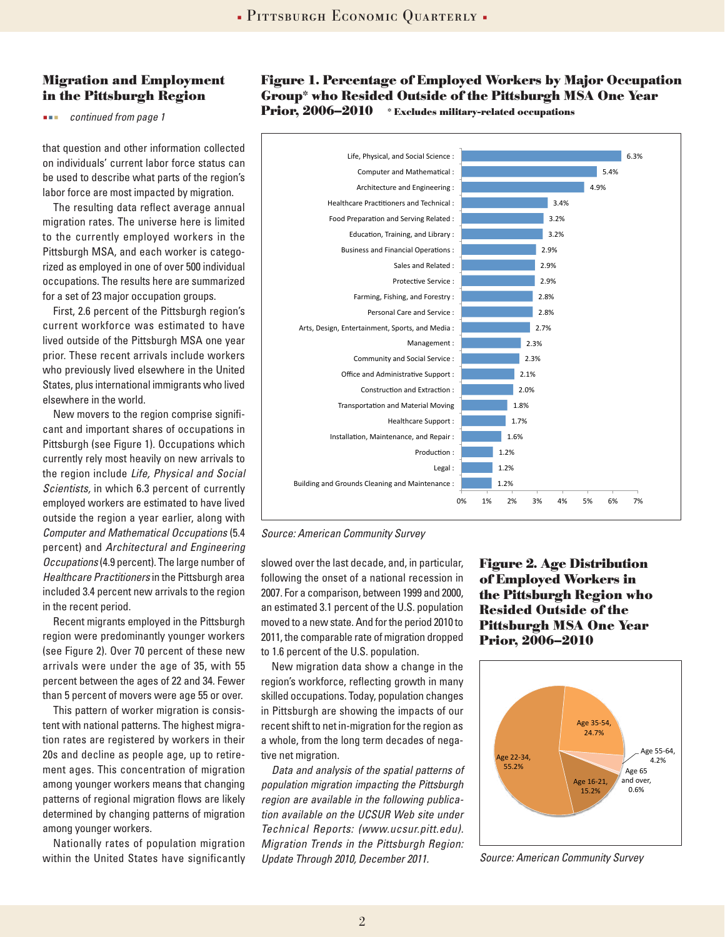### **Migration and Employment in the Pittsburgh Region**

*continued from page 1*

that question and other information collected on individuals' current labor force status can be used to describe what parts of the region's labor force are most impacted by migration.

The resulting data reflect average annual migration rates. The universe here is limited to the currently employed workers in the Pittsburgh MSA, and each worker is categorized as employed in one of over 500 individual occupations. The results here are summarized for a set of 23 major occupation groups.

First, 2.6 percent of the Pittsburgh region's current workforce was estimated to have lived outside of the Pittsburgh MSA one year prior. These recent arrivals include workers who previously lived elsewhere in the United States, plus international immigrants who lived elsewhere in the world.

New movers to the region comprise significant and important shares of occupations in Pittsburgh (see Figure 1). Occupations which currently rely most heavily on new arrivals to the region include *Life, Physical and Social Scientists,* in which 6.3 percent of currently employed workers are estimated to have lived outside the region a year earlier, along with *Computer and Mathematical Occupations* (5.4 percent) and *Architectural and Engineering Occupations* (4.9 percent). The large number of *Healthcare Practitioners* in the Pittsburgh area included 3.4 percent new arrivals to the region in the recent period.

Recent migrants employed in the Pittsburgh region were predominantly younger workers (see Figure 2). Over 70 percent of these new arrivals were under the age of 35, with 55 percent between the ages of 22 and 34. Fewer than 5 percent of movers were age 55 or over.

This pattern of worker migration is consistent with national patterns. The highest migration rates are registered by workers in their 20s and decline as people age, up to retirement ages. This concentration of migration among younger workers means that changing patterns of regional migration flows are likely determined by changing patterns of migration among younger workers.

Nationally rates of population migration within the United States have significantly

### **Figure 1. Percentage of Employed Workers by Major Occupation Group\* who Resided Outside of the Pittsburgh MSA One Year Prior, 2006–2010** \* Excludes military-related occupations



*Source: American Community Survey*

slowed over the last decade, and, in particular, following the onset of a national recession in 2007. For a comparison, between 1999 and 2000, an estimated 3.1 percent of the U.S. population moved to a new state. And for the period 2010 to 2011, the comparable rate of migration dropped to 1.6 percent of the U.S. population.

New migration data show a change in the region's workforce, reflecting growth in many skilled occupations. Today, population changes in Pittsburgh are showing the impacts of our recent shift to net in-migration for the region as a whole, from the long term decades of negative net migration.

*Data and analysis of the spatial patterns of population migration impacting the Pittsburgh region are available in the following publication available on the UCSUR Web site under Technical Reports: (www.ucsur.pitt.edu). Migration Trends in the Pittsburgh Region: Update Through 2010, December 2011.* 

**Figure 2. Age Distribution of Employed Workers in the Pittsburgh Region who Resided Outside of the Pittsburgh MSA One Year Prior, 2006–2010**



*Source: American Community Survey*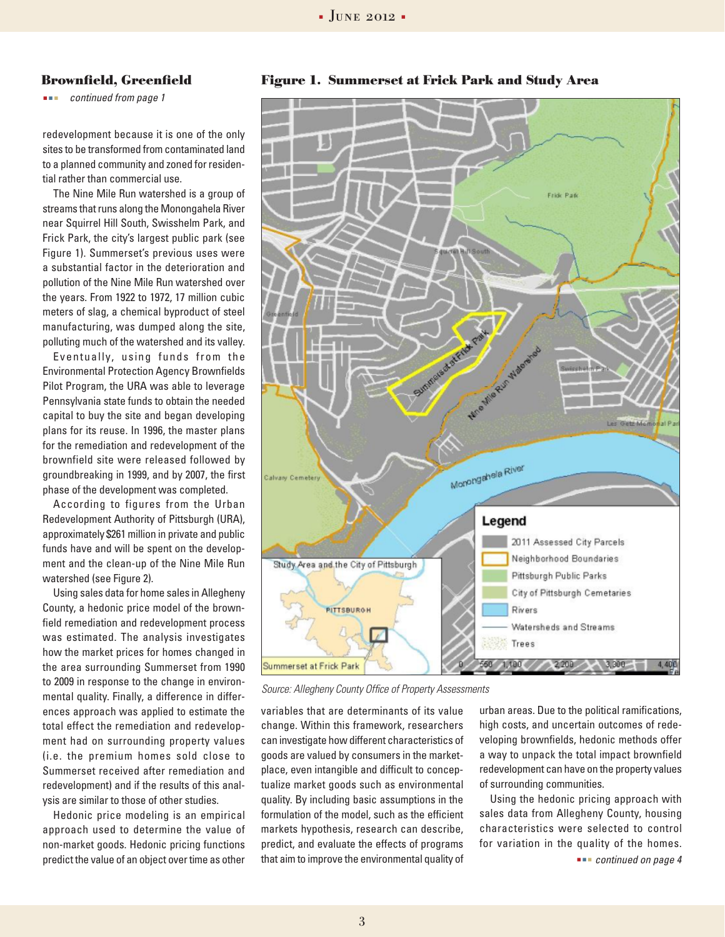#### **Brownfield, Greenfield**

*continued from page 1*

redevelopment because it is one of the only sites to be transformed from contaminated land to a planned community and zoned for residential rather than commercial use.

The Nine Mile Run watershed is a group of streams that runs along the Monongahela River near Squirrel Hill South, Swisshelm Park, and Frick Park, the city's largest public park (see Figure 1). Summerset's previous uses were a substantial factor in the deterioration and pollution of the Nine Mile Run watershed over the years. From 1922 to 1972, 17 million cubic meters of slag, a chemical byproduct of steel manufacturing, was dumped along the site, polluting much of the watershed and its valley.

Eventually, using funds from the Environmental Protection Agency Brownfields Pilot Program, the URA was able to leverage Pennsylvania state funds to obtain the needed capital to buy the site and began developing plans for its reuse. In 1996, the master plans for the remediation and redevelopment of the brownfield site were released followed by groundbreaking in 1999, and by 2007, the first phase of the development was completed.

According to figures from the Urban Redevelopment Authority of Pittsburgh (URA), approximately \$261 million in private and public funds have and will be spent on the development and the clean-up of the Nine Mile Run watershed (see Figure 2).

Using sales data for home sales in Allegheny County, a hedonic price model of the brownfield remediation and redevelopment process was estimated. The analysis investigates how the market prices for homes changed in the area surrounding Summerset from 1990 to 2009 in response to the change in environmental quality. Finally, a difference in differences approach was applied to estimate the total effect the remediation and redevelopment had on surrounding property values (i.e. the premium homes sold close to Summerset received after remediation and redevelopment) and if the results of this analysis are similar to those of other studies.

Hedonic price modeling is an empirical approach used to determine the value of non-market goods. Hedonic pricing functions predict the value of an object over time as other





*Source: Allegheny County Office of Property Assessments*

variables that are determinants of its value change. Within this framework, researchers can investigate how different characteristics of goods are valued by consumers in the marketplace, even intangible and difficult to conceptualize market goods such as environmental quality. By including basic assumptions in the formulation of the model, such as the efficient markets hypothesis, research can describe, predict, and evaluate the effects of programs that aim to improve the environmental quality of

urban areas. Due to the political ramifications, high costs, and uncertain outcomes of redeveloping brownfields, hedonic methods offer a way to unpack the total impact brownfield redevelopment can have on the property values of surrounding communities.

Using the hedonic pricing approach with sales data from Allegheny County, housing characteristics were selected to control for variation in the quality of the homes.

 *continued on page 4*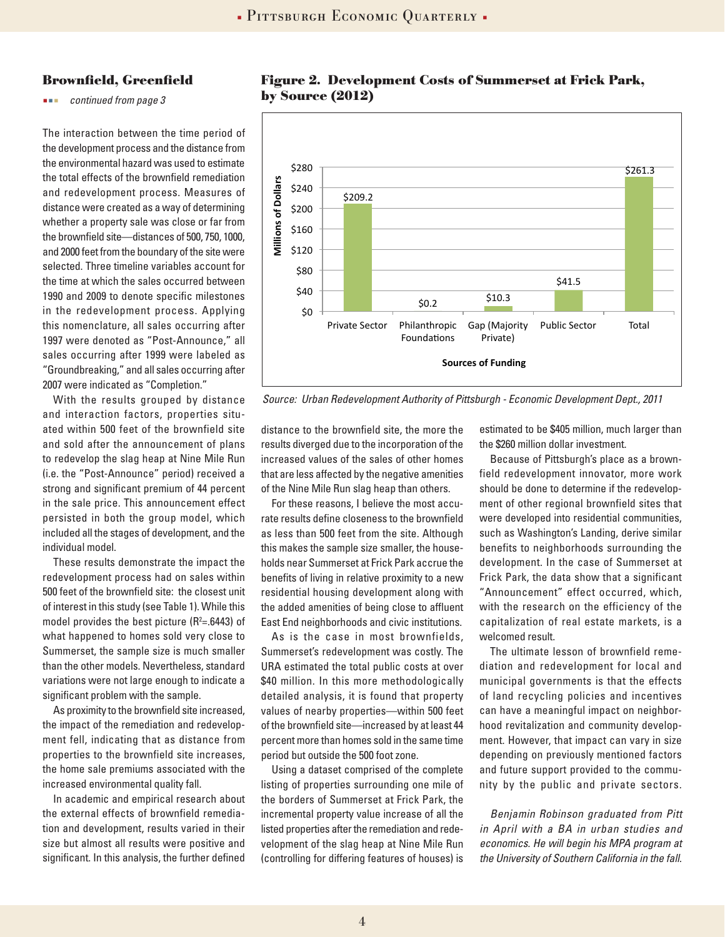#### **Brownfield, Greenfield**

*continued from page 3*

Source: Barban Barban Barban Barban Barban Barban Barban Barban Barban Barban Barban Barban Barban Barban Barb The interaction between the time period of the development process and the distance from the environmental hazard was used to estimate the total effects of the brownfield remediation and redevelopment process. Measures of distance were created as a way of determining whether a property sale was close or far from the brownfield site—distances of 500, 750, 1000, and 2000 feet from the boundary of the site were selected. Three timeline variables account for the time at which the sales occurred between 1990 and 2009 to denote specific milestones in the redevelopment process. Applying this nomenclature, all sales occurring after 1997 were denoted as "Post-Announce," all sales occurring after 1999 were labeled as "Groundbreaking," and all sales occurring after 2007 were indicated as "Completion."

With the results grouped by distance and interaction factors, properties situated within 500 feet of the brownfield site and sold after the announcement of plans to redevelop the slag heap at Nine Mile Run (i.e. the "Post-Announce" period) received a strong and significant premium of 44 percent in the sale price. This announcement effect persisted in both the group model, which included all the stages of development, and the individual model.

These results demonstrate the impact the redevelopment process had on sales within 500 feet of the brownfield site: the closest unit of interest in this study (see Table 1). While this model provides the best picture ( $R^2 = .6443$ ) of what happened to homes sold very close to Summerset, the sample size is much smaller than the other models. Nevertheless, standard variations were not large enough to indicate a significant problem with the sample.

As proximity to the brownfield site increased, the impact of the remediation and redevelopment fell, indicating that as distance from properties to the brownfield site increases, the home sale premiums associated with the increased environmental quality fall.

In academic and empirical research about the external effects of brownfield remediation and development, results varied in their size but almost all results were positive and significant. In this analysis, the further defined



### **Figure 2. Development Costs of Summerset at Frick Park, by Source (2012)**

*Source: Urban Redevelopment Authority of Pittsburgh - Economic Development Dept., 2011*

distance to the brownfield site, the more the results diverged due to the incorporation of the increased values of the sales of other homes that are less affected by the negative amenities of the Nine Mile Run slag heap than others.

For these reasons, I believe the most accurate results define closeness to the brownfield as less than 500 feet from the site. Although this makes the sample size smaller, the households near Summerset at Frick Park accrue the benefits of living in relative proximity to a new residential housing development along with the added amenities of being close to affluent East End neighborhoods and civic institutions.

As is the case in most brownfields, Summerset's redevelopment was costly. The URA estimated the total public costs at over \$40 million. In this more methodologically detailed analysis, it is found that property values of nearby properties—within 500 feet of the brownfield site—increased by at least 44 percent more than homes sold in the same time period but outside the 500 foot zone.

Using a dataset comprised of the complete listing of properties surrounding one mile of the borders of Summerset at Frick Park, the incremental property value increase of all the listed properties after the remediation and redevelopment of the slag heap at Nine Mile Run (controlling for differing features of houses) is

estimated to be \$405 million, much larger than the \$260 million dollar investment.

Because of Pittsburgh's place as a brownfield redevelopment innovator, more work should be done to determine if the redevelopment of other regional brownfield sites that were developed into residential communities, such as Washington's Landing, derive similar benefits to neighborhoods surrounding the development. In the case of Summerset at Frick Park, the data show that a significant "Announcement" effect occurred, which, with the research on the efficiency of the capitalization of real estate markets, is a welcomed result.

The ultimate lesson of brownfield remediation and redevelopment for local and municipal governments is that the effects of land recycling policies and incentives can have a meaningful impact on neighborhood revitalization and community development. However, that impact can vary in size depending on previously mentioned factors and future support provided to the community by the public and private sectors.

*Benjamin Robinson graduated from Pitt in April with a BA in urban studies and economics. He will begin his MPA program at the University of Southern California in the fall.*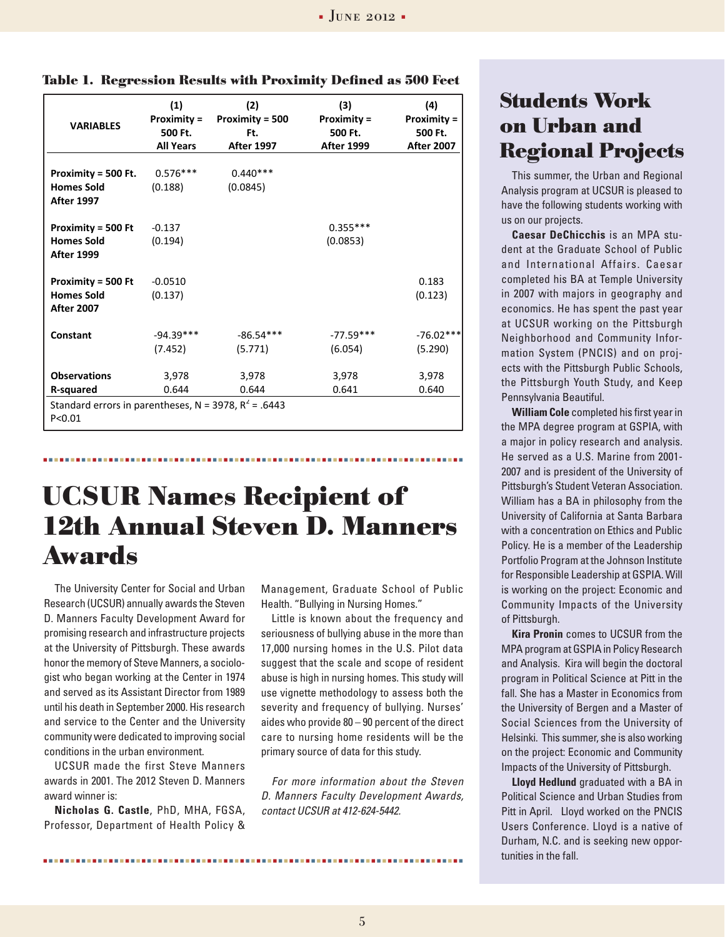| <b>VARIABLES</b>                                                                                        | (1)<br><b>Proximity =</b><br>500 Ft.<br><b>All Years</b> | (2)<br><b>Proximity = 500</b><br>Ft.<br><b>After 1997</b> | (3)<br><b>Proximity =</b><br>500 Ft.<br><b>After 1999</b> | (4)<br><b>Proximity =</b><br>500 Ft.<br><b>After 2007</b> |
|---------------------------------------------------------------------------------------------------------|----------------------------------------------------------|-----------------------------------------------------------|-----------------------------------------------------------|-----------------------------------------------------------|
| Proximity = 500 Ft.<br><b>Homes Sold</b><br><b>After 1997</b>                                           | $0.576***$<br>(0.188)                                    | $0.440***$<br>(0.0845)                                    |                                                           |                                                           |
| <b>Proximity = 500 Ft</b><br><b>Homes Sold</b><br><b>After 1999</b>                                     | $-0.137$<br>(0.194)                                      |                                                           | $0.355***$<br>(0.0853)                                    |                                                           |
| <b>Proximity = 500 Ft</b><br><b>Homes Sold</b><br><b>After 2007</b>                                     | $-0.0510$<br>(0.137)                                     |                                                           |                                                           | 0.183<br>(0.123)                                          |
| Constant                                                                                                | $-94.39***$<br>(7.452)                                   | $-86.54***$<br>(5.771)                                    | $-77.59***$<br>(6.054)                                    | $-76.02***$<br>(5.290)                                    |
| <b>Observations</b><br>R-squared<br>Standard errors in parentheses, N = 3978, $R^2$ = .6443<br>P < 0.01 | 3,978<br>0.644                                           | 3,978<br>0.644                                            | 3,978<br>0.641                                            | 3,978<br>0.640                                            |

Table 1. Regression Results with Proximity Defined as 500 Feet

## **UCSUR Names Recipient of 12th Annual Steven D. Manners Awards**

The University Center for Social and Urban Research (UCSUR) annually awards the Steven D. Manners Faculty Development Award for promising research and infrastructure projects at the University of Pittsburgh. These awards honor the memory of Steve Manners, a sociologist who began working at the Center in 1974 and served as its Assistant Director from 1989 until his death in September 2000. His research and service to the Center and the University community were dedicated to improving social conditions in the urban environment.

UCSUR made the first Steve Manners awards in 2001. The 2012 Steven D. Manners award winner is:

**Nicholas G. Castle**, PhD, MHA, FGSA, Professor, Department of Health Policy &

Management, Graduate School of Public Health. "Bullying in Nursing Homes."

Little is known about the frequency and seriousness of bullying abuse in the more than 17,000 nursing homes in the U.S. Pilot data suggest that the scale and scope of resident abuse is high in nursing homes. This study will use vignette methodology to assess both the severity and frequency of bullying. Nurses' aides who provide 80 – 90 percent of the direct care to nursing home residents will be the primary source of data for this study.

*For more information about the Steven D. Manners Faculty Development Awards, contact UCSUR at 412-624-5442.*

### **Students Work on Urban and Regional Projects**

This summer, the Urban and Regional Analysis program at UCSUR is pleased to have the following students working with us on our projects.

**Caesar DeChicchis** is an MPA student at the Graduate School of Public and International Affairs. Caesar completed his BA at Temple University in 2007 with majors in geography and economics. He has spent the past year at UCSUR working on the Pittsburgh Neighborhood and Community Information System (PNCIS) and on projects with the Pittsburgh Public Schools, the Pittsburgh Youth Study, and Keep Pennsylvania Beautiful.

**William Cole** completed his first year in the MPA degree program at GSPIA, with a major in policy research and analysis. He served as a U.S. Marine from 2001- 2007 and is president of the University of Pittsburgh's Student Veteran Association. William has a BA in philosophy from the University of California at Santa Barbara with a concentration on Ethics and Public Policy. He is a member of the Leadership Portfolio Program at the Johnson Institute for Responsible Leadership at GSPIA. Will is working on the project: Economic and Community Impacts of the University of Pittsburgh.

**Kira Pronin** comes to UCSUR from the MPA program at GSPIA in Policy Research and Analysis. Kira will begin the doctoral program in Political Science at Pitt in the fall. She has a Master in Economics from the University of Bergen and a Master of Social Sciences from the University of Helsinki. This summer, she is also working on the project: Economic and Community Impacts of the University of Pittsburgh.

**Lloyd Hedlund** graduated with a BA in Political Science and Urban Studies from Pitt in April. Lloyd worked on the PNCIS Users Conference. Lloyd is a native of Durham, N.C. and is seeking new opportunities in the fall.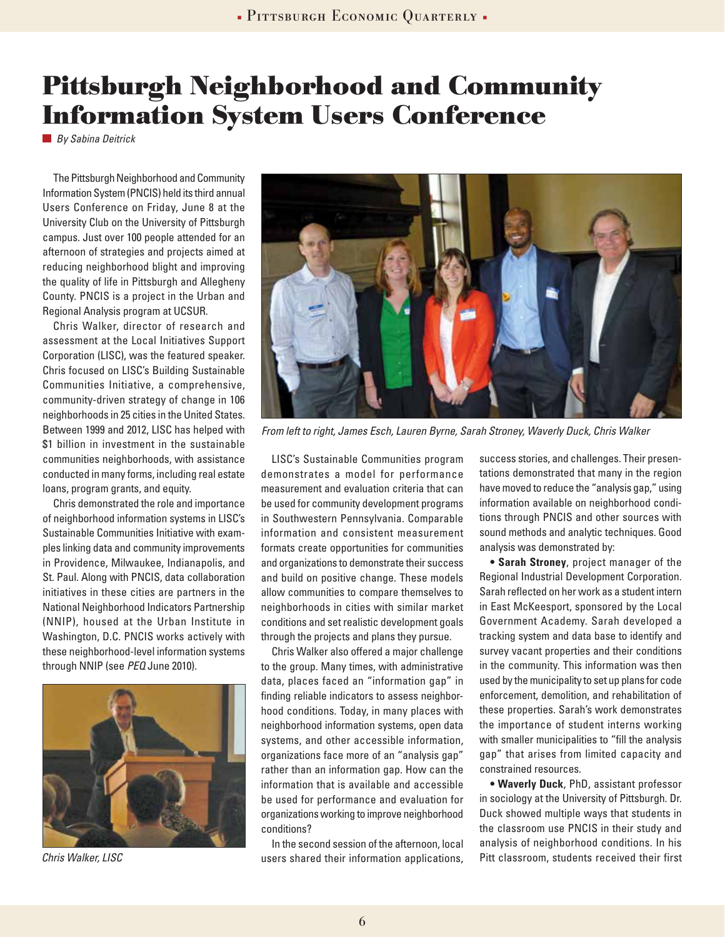### **Pittsburgh Neighborhood and Community Information System Users Conference**

*By Sabina Deitrick*

The Pittsburgh Neighborhood and Community Information System (PNCIS) held its third annual Users Conference on Friday, June 8 at the University Club on the University of Pittsburgh campus. Just over 100 people attended for an afternoon of strategies and projects aimed at reducing neighborhood blight and improving the quality of life in Pittsburgh and Allegheny County. PNCIS is a project in the Urban and Regional Analysis program at UCSUR.

Chris Walker, director of research and assessment at the Local Initiatives Support Corporation (LISC), was the featured speaker. Chris focused on LISC's Building Sustainable Communities Initiative, a comprehensive, community-driven strategy of change in 106 neighborhoods in 25 cities in the United States. Between 1999 and 2012, LISC has helped with \$1 billion in investment in the sustainable communities neighborhoods, with assistance conducted in many forms, including real estate loans, program grants, and equity.

Chris demonstrated the role and importance of neighborhood information systems in LISC's Sustainable Communities Initiative with examples linking data and community improvements in Providence, Milwaukee, Indianapolis, and St. Paul. Along with PNCIS, data collaboration initiatives in these cities are partners in the National Neighborhood Indicators Partnership (NNIP), housed at the Urban Institute in Washington, D.C. PNCIS works actively with these neighborhood-level information systems through NNIP (see *PEQ* June 2010).



*Chris Walker, LISC*



*From left to right, James Esch, Lauren Byrne, Sarah Stroney, Waverly Duck, Chris Walker*

LISC's Sustainable Communities program demonstrates a model for performance measurement and evaluation criteria that can be used for community development programs in Southwestern Pennsylvania. Comparable information and consistent measurement formats create opportunities for communities and organizations to demonstrate their success and build on positive change. These models allow communities to compare themselves to neighborhoods in cities with similar market conditions and set realistic development goals through the projects and plans they pursue.

Chris Walker also offered a major challenge to the group. Many times, with administrative data, places faced an "information gap" in finding reliable indicators to assess neighborhood conditions. Today, in many places with neighborhood information systems, open data systems, and other accessible information, organizations face more of an "analysis gap" rather than an information gap. How can the information that is available and accessible be used for performance and evaluation for organizations working to improve neighborhood conditions?

In the second session of the afternoon, local users shared their information applications,

success stories, and challenges. Their presentations demonstrated that many in the region have moved to reduce the "analysis gap," using information available on neighborhood conditions through PNCIS and other sources with sound methods and analytic techniques. Good analysis was demonstrated by:

**• Sarah Stroney**, project manager of the Regional Industrial Development Corporation. Sarah reflected on her work as a student intern in East McKeesport, sponsored by the Local Government Academy. Sarah developed a tracking system and data base to identify and survey vacant properties and their conditions in the community. This information was then used by the municipality to set up plans for code enforcement, demolition, and rehabilitation of these properties. Sarah's work demonstrates the importance of student interns working with smaller municipalities to "fill the analysis gap" that arises from limited capacity and constrained resources.

**• Waverly Duck**, PhD, assistant professor in sociology at the University of Pittsburgh. Dr. Duck showed multiple ways that students in the classroom use PNCIS in their study and analysis of neighborhood conditions. In his Pitt classroom, students received their first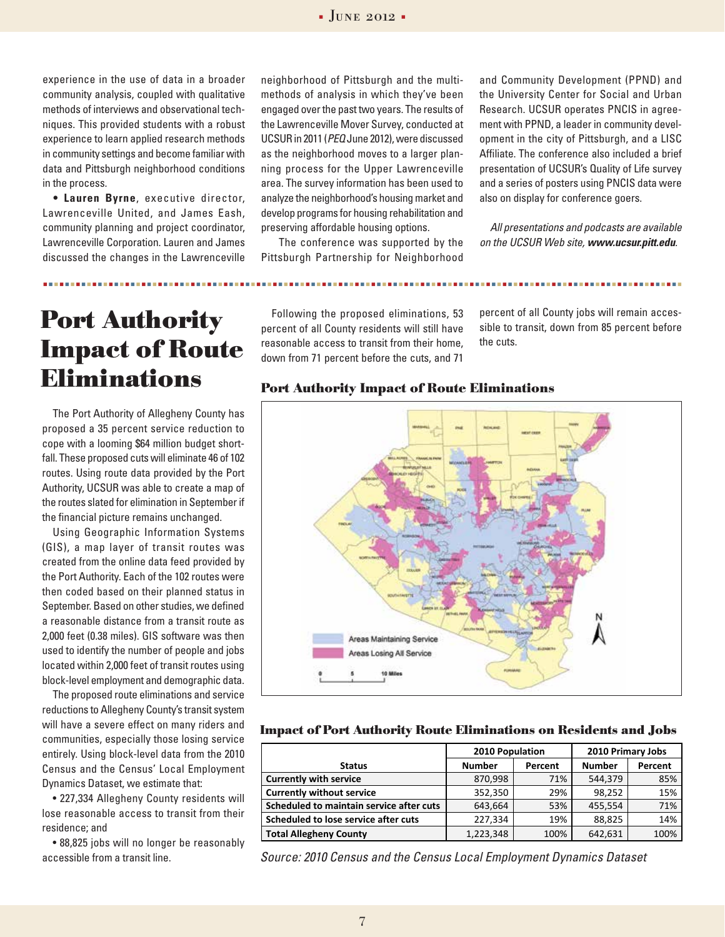experience in the use of data in a broader community analysis, coupled with qualitative methods of interviews and observational techniques. This provided students with a robust experience to learn applied research methods in community settings and become familiar with data and Pittsburgh neighborhood conditions in the process.

**• Lauren Byrne**, executive director, Lawrenceville United, and James Eash, community planning and project coordinator, Lawrenceville Corporation. Lauren and James discussed the changes in the Lawrenceville

**Port Authority Impact of Route Eliminations**

The Port Authority of Allegheny County has proposed a 35 percent service reduction to cope with a looming \$64 million budget shortfall. These proposed cuts will eliminate 46 of 102 routes. Using route data provided by the Port Authority, UCSUR was able to create a map of the routes slated for elimination in September if the financial picture remains unchanged.

Using Geographic Information Systems (GIS), a map layer of transit routes was created from the online data feed provided by the Port Authority. Each of the 102 routes were then coded based on their planned status in September. Based on other studies, we defined a reasonable distance from a transit route as 2,000 feet (0.38 miles). GIS software was then used to identify the number of people and jobs located within 2,000 feet of transit routes using block-level employment and demographic data.

The proposed route eliminations and service reductions to Allegheny County's transit system will have a severe effect on many riders and communities, especially those losing service entirely. Using block-level data from the 2010 Census and the Census' Local Employment Dynamics Dataset, we estimate that:

• 227,334 Allegheny County residents will lose reasonable access to transit from their residence; and

• 88,825 jobs will no longer be reasonably accessible from a transit line.

neighborhood of Pittsburgh and the multimethods of analysis in which they've been engaged over the past two years. The results of the Lawrenceville Mover Survey, conducted at UCSUR in 2011 (*PEQ* June 2012), were discussed as the neighborhood moves to a larger planning process for the Upper Lawrenceville area. The survey information has been used to analyze the neighborhood's housing market and develop programs for housing rehabilitation and preserving affordable housing options.

 The conference was supported by the Pittsburgh Partnership for Neighborhood

and Community Development (PPND) and the University Center for Social and Urban Research. UCSUR operates PNCIS in agreement with PPND, a leader in community development in the city of Pittsburgh, and a LISC Affiliate. The conference also included a brief presentation of UCSUR's Quality of Life survey and a series of posters using PNCIS data were also on display for conference goers.

*All presentations and podcasts are available on the UCSUR Web site, www.ucsur.pitt.edu.* 

Following the proposed eliminations, 53 percent of all County residents will still have reasonable access to transit from their home, down from 71 percent before the cuts, and 71

percent of all County jobs will remain accessible to transit, down from 85 percent before the cuts.



### **Port Authority Impact of Route Eliminations**

**Impact of Port Authority Route Eliminations on Residents and Jobs**

|                                          | 2010 Population |         | 2010 Primary Jobs |         |
|------------------------------------------|-----------------|---------|-------------------|---------|
| <b>Status</b>                            | <b>Number</b>   | Percent | <b>Number</b>     | Percent |
| <b>Currently with service</b>            | 870,998         | 71%     | 544,379           | 85%     |
| <b>Currently without service</b>         | 352,350         | 29%     | 98,252            | 15%     |
| Scheduled to maintain service after cuts | 643,664         | 53%     | 455,554           | 71%     |
| Scheduled to lose service after cuts     | 227,334         | 19%     | 88.825            | 14%     |
| <b>Total Allegheny County</b>            | 1,223,348       | 100%    | 642.631           | 100%    |

*Source: 2010 Census and the Census Local Employment Dynamics Dataset*